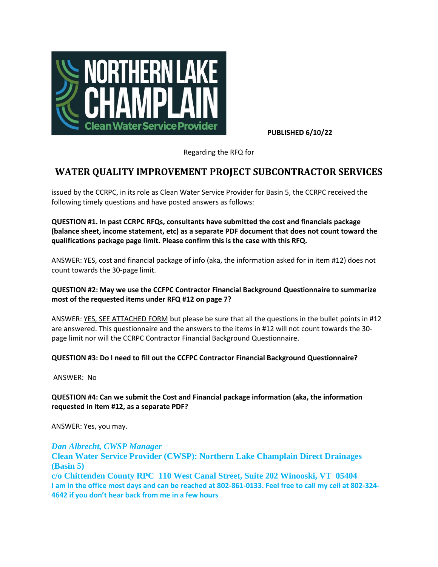

**PUBLISHED 6/10/22**

Regarding the RFQ for

# **WATER QUALITY IMPROVEMENT PROJECT SUBCONTRACTOR SERVICES**

issued by the CCRPC, in its role as Clean Water Service Provider for Basin 5, the CCRPC received the following timely questions and have posted answers as follows:

**QUESTION #1. In past CCRPC RFQs, consultants have submitted the cost and financials package (balance sheet, income statement, etc) as a separate PDF document that does not count toward the qualifications package page limit. Please confirm this is the case with this RFQ.**

ANSWER: YES, cost and financial package of info (aka, the information asked for in item #12) does not count towards the 30-page limit.

### **QUESTION #2: May we use the CCFPC Contractor Financial Background Questionnaire to summarize most of the requested items under RFQ #12 on page 7?**

ANSWER: YES, SEE ATTACHED FORM but please be sure that all the questions in the bullet points in #12 are answered. This questionnaire and the answers to the items in #12 will not count towards the 30 page limit nor will the CCRPC Contractor Financial Background Questionnaire.

### **QUESTION #3: Do I need to fill out the CCFPC Contractor Financial Background Questionnaire?**

ANSWER: No

### **QUESTION #4: Can we submit the Cost and Financial package information (aka, the information requested in item #12, as a separate PDF?**

ANSWER: Yes, you may.

#### *Dan Albrecht, CWSP Manager*

**Clean Water Service Provider (CWSP): Northern Lake Champlain Direct Drainages (Basin 5)**

**c/o Chittenden County RPC 110 West Canal Street, Suite 202 Winooski, VT 05404 I am in the office most days and can be reached at 802-861-0133. Feel free to call my cell at 802-324- 4642 if you don't hear back from me in a few hours**